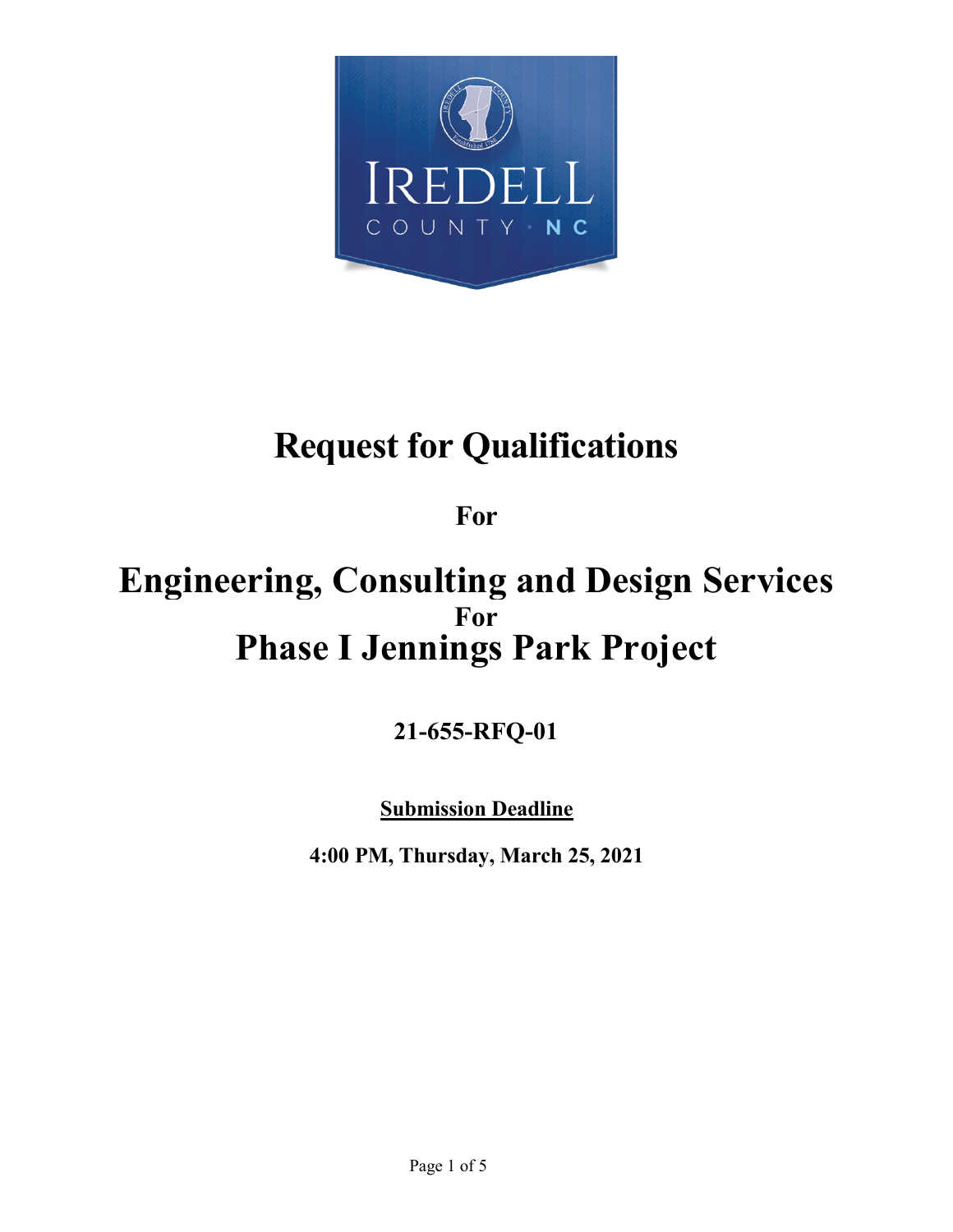

# **Request for Qualifications**

**For**

# **Engineering, Consulting and Design Services For Phase I Jennings Park Project**

**21-655-RFQ-01**

**Submission Deadline**

**4:00 PM, Thursday, March 25, 2021**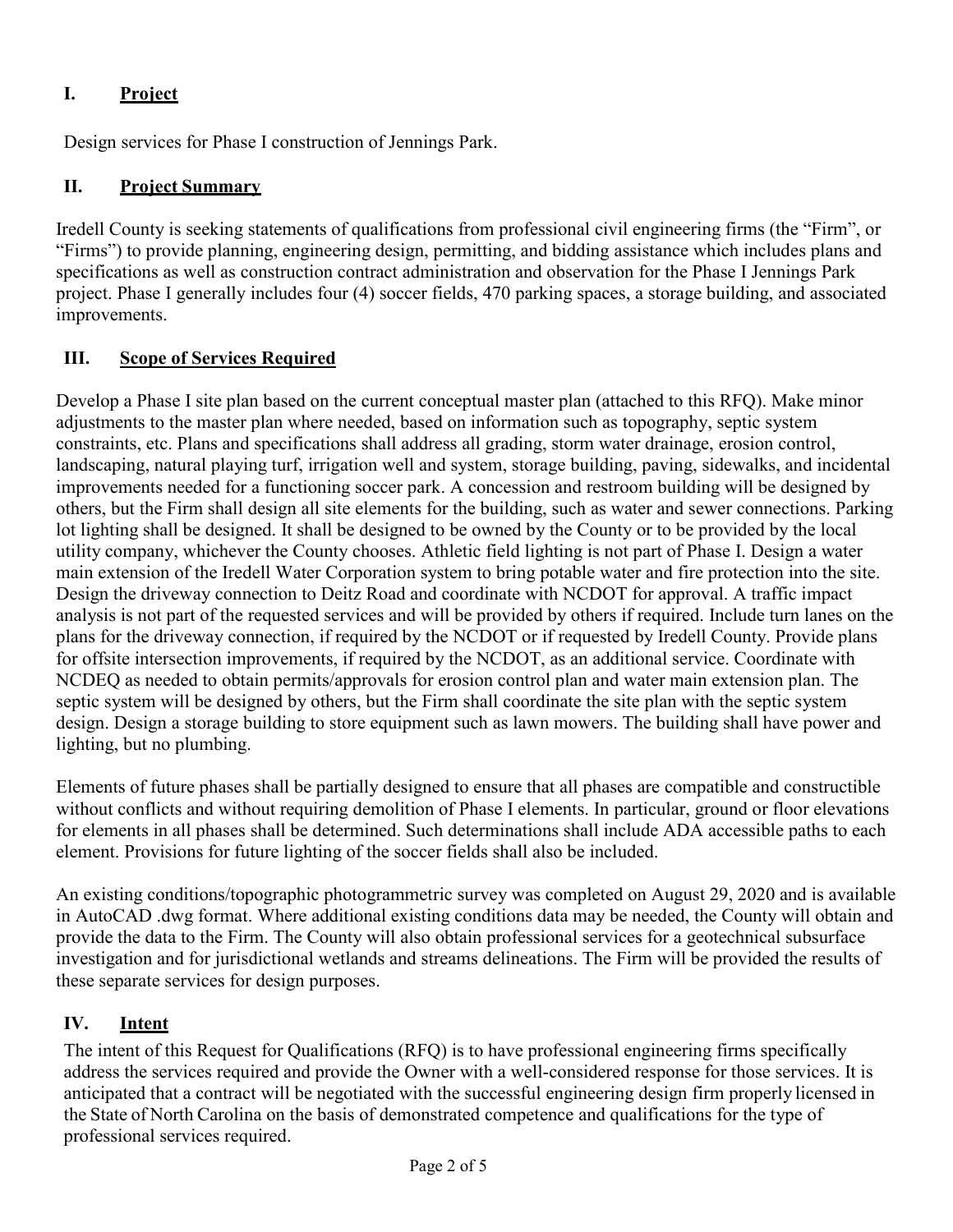# **I. Project**

Design services for Phase I construction of Jennings Park.

# **II. Project Summary**

Iredell County is seeking statements of qualifications from professional civil engineering firms (the "Firm", or "Firms") to provide planning, engineering design, permitting, and bidding assistance which includes plans and specifications as well as construction contract administration and observation for the Phase I Jennings Park project. Phase I generally includes four (4) soccer fields, 470 parking spaces, a storage building, and associated improvements.

# **III. Scope of Services Required**

Develop a Phase I site plan based on the current conceptual master plan (attached to this RFQ). Make minor adjustments to the master plan where needed, based on information such as topography, septic system constraints, etc. Plans and specifications shall address all grading, storm water drainage, erosion control, landscaping, natural playing turf, irrigation well and system, storage building, paving, sidewalks, and incidental improvements needed for a functioning soccer park. A concession and restroom building will be designed by others, but the Firm shall design all site elements for the building, such as water and sewer connections. Parking lot lighting shall be designed. It shall be designed to be owned by the County or to be provided by the local utility company, whichever the County chooses. Athletic field lighting is not part of Phase I. Design a water main extension of the Iredell Water Corporation system to bring potable water and fire protection into the site. Design the driveway connection to Deitz Road and coordinate with NCDOT for approval. A traffic impact analysis is not part of the requested services and will be provided by others if required. Include turn lanes on the plans for the driveway connection, if required by the NCDOT or if requested by Iredell County. Provide plans for offsite intersection improvements, if required by the NCDOT, as an additional service. Coordinate with NCDEQ as needed to obtain permits/approvals for erosion control plan and water main extension plan. The septic system will be designed by others, but the Firm shall coordinate the site plan with the septic system design. Design a storage building to store equipment such as lawn mowers. The building shall have power and lighting, but no plumbing.

Elements of future phases shall be partially designed to ensure that all phases are compatible and constructible without conflicts and without requiring demolition of Phase I elements. In particular, ground or floor elevations for elements in all phases shall be determined. Such determinations shall include ADA accessible paths to each element. Provisions for future lighting of the soccer fields shall also be included.

An existing conditions/topographic photogrammetric survey was completed on August 29, 2020 and is available in AutoCAD .dwg format. Where additional existing conditions data may be needed, the County will obtain and provide the data to the Firm. The County will also obtain professional services for a geotechnical subsurface investigation and for jurisdictional wetlands and streams delineations. The Firm will be provided the results of these separate services for design purposes.

### **IV. Intent**

The intent of this Request for Qualifications (RFQ) is to have professional engineering firms specifically address the services required and provide the Owner with a well-considered response for those services. It is anticipated that a contract will be negotiated with the successful engineering design firm properly licensed in the State of North Carolina on the basis of demonstrated competence and qualifications for the type of professional services required.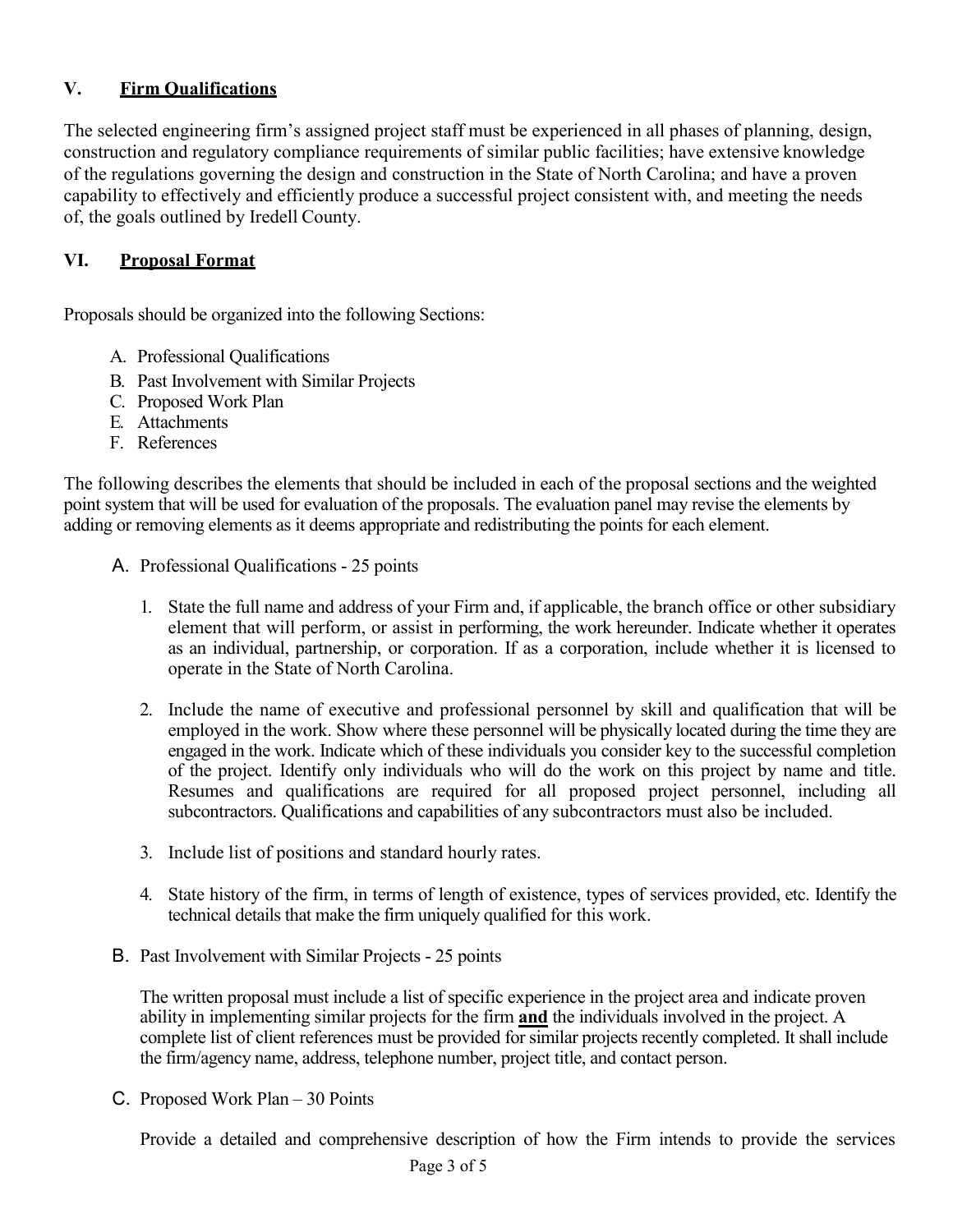#### **V. Firm Qualifications**

The selected engineering firm's assigned project staff must be experienced in all phases of planning, design, construction and regulatory compliance requirements of similar public facilities; have extensive knowledge of the regulations governing the design and construction in the State of North Carolina; and have a proven capability to effectively and efficiently produce a successful project consistent with, and meeting the needs of, the goals outlined by Iredell County.

#### **VI. Proposal Format**

Proposals should be organized into the following Sections:

- A. Professional Qualifications
- B. Past Involvement with Similar Projects
- C. Proposed Work Plan
- E. Attachments
- F. References

The following describes the elements that should be included in each of the proposal sections and the weighted point system that will be used for evaluation of the proposals. The evaluation panel may revise the elements by adding or removing elements as it deems appropriate and redistributing the points for each element.

- A. Professional Qualifications 25 points
	- 1. State the full name and address of your Firm and, if applicable, the branch office or other subsidiary element that will perform, or assist in performing, the work hereunder. Indicate whether it operates as an individual, partnership, or corporation. If as a corporation, include whether it is licensed to operate in the State of North Carolina.
	- 2. Include the name of executive and professional personnel by skill and qualification that will be employed in the work. Show where these personnel will be physically located during the time they are engaged in the work. Indicate which of these individuals you consider key to the successful completion of the project. Identify only individuals who will do the work on this project by name and title. Resumes and qualifications are required for all proposed project personnel, including all subcontractors. Qualifications and capabilities of any subcontractors must also be included.
	- 3. Include list of positions and standard hourly rates.
	- 4. State history of the firm, in terms of length of existence, types of services provided, etc. Identify the technical details that make the firm uniquely qualified for this work.
- B. Past Involvement with Similar Projects 25 points

The written proposal must include a list of specific experience in the project area and indicate proven ability in implementing similar projects for the firm **and** the individuals involved in the project. A complete list of client references must be provided for similar projects recently completed. It shall include the firm/agency name, address, telephone number, project title, and contact person.

C. Proposed Work Plan – 30 Points

Provide a detailed and comprehensive description of how the Firm intends to provide the services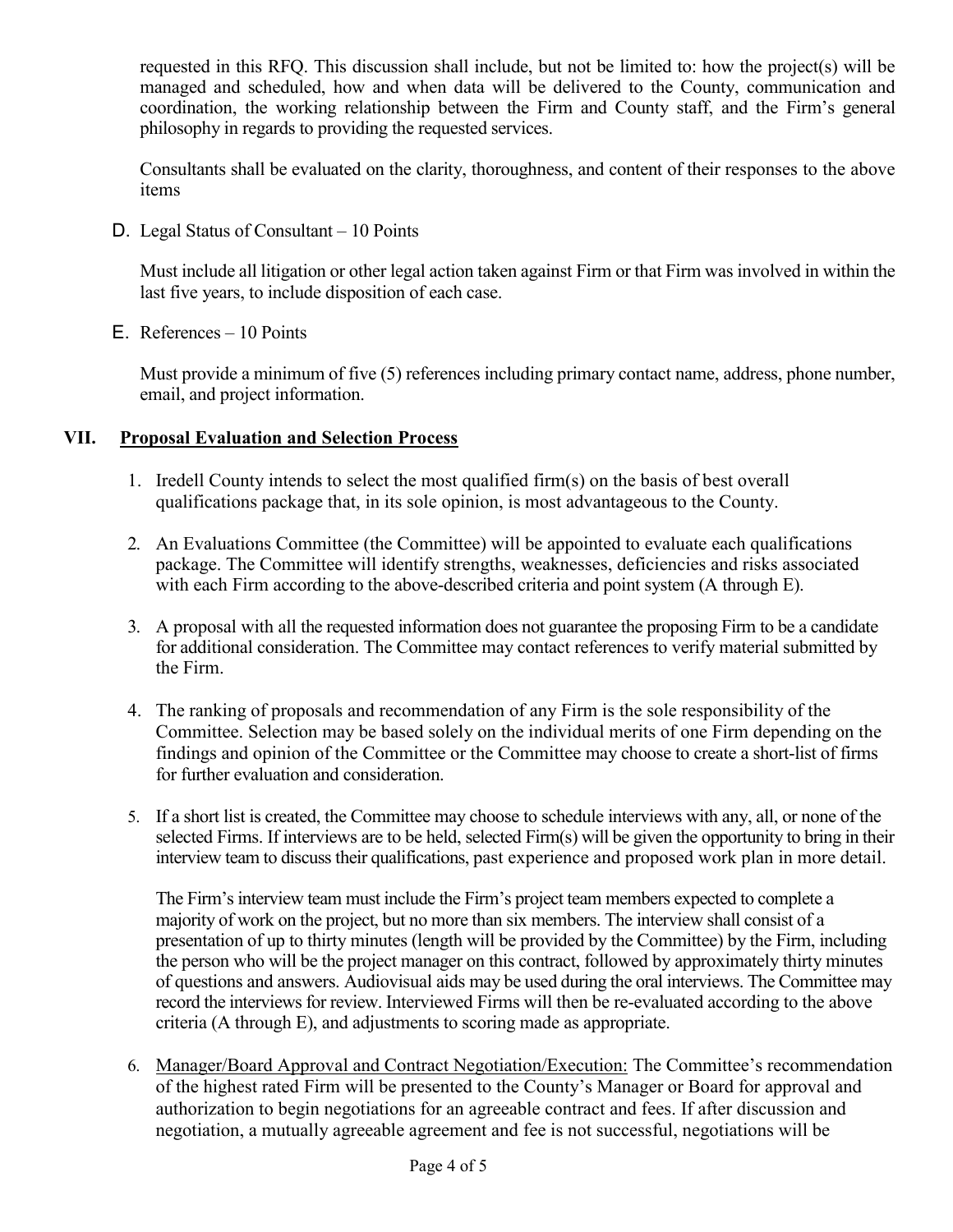requested in this RFQ. This discussion shall include, but not be limited to: how the project(s) will be managed and scheduled, how and when data will be delivered to the County, communication and coordination, the working relationship between the Firm and County staff, and the Firm's general philosophy in regards to providing the requested services.

Consultants shall be evaluated on the clarity, thoroughness, and content of their responses to the above items

D. Legal Status of Consultant – 10 Points

Must include all litigation or other legal action taken against Firm or that Firm was involved in within the last five years, to include disposition of each case.

E. References – 10 Points

Must provide a minimum of five (5) references including primary contact name, address, phone number, email, and project information.

#### **VII. Proposal Evaluation and Selection Process**

- 1. Iredell County intends to select the most qualified firm(s) on the basis of best overall qualifications package that, in its sole opinion, is most advantageous to the County.
- 2. An Evaluations Committee (the Committee) will be appointed to evaluate each qualifications package. The Committee will identify strengths, weaknesses, deficiencies and risks associated with each Firm according to the above-described criteria and point system (A through E).
- 3. A proposal with all the requested information does not guarantee the proposing Firm to be a candidate for additional consideration. The Committee may contact references to verify material submitted by the Firm.
- 4. The ranking of proposals and recommendation of any Firm is the sole responsibility of the Committee. Selection may be based solely on the individual merits of one Firm depending on the findings and opinion of the Committee or the Committee may choose to create a short-list of firms for further evaluation and consideration.
- 5. If a short list is created, the Committee may choose to schedule interviews with any, all, or none of the selected Firms. If interviews are to be held, selected Firm(s) will be given the opportunity to bring in their interview team to discuss their qualifications, past experience and proposed work plan in more detail.

The Firm's interview team must include the Firm's project team members expected to complete a majority of work on the project, but no more than six members. The interview shall consist of a presentation of up to thirty minutes (length will be provided by the Committee) by the Firm, including the person who will be the project manager on this contract, followed by approximately thirty minutes of questions and answers. Audiovisual aids may be used during the oral interviews. The Committee may record the interviews for review. Interviewed Firms will then be re-evaluated according to the above criteria (A through E), and adjustments to scoring made as appropriate.

6. Manager/Board Approval and Contract Negotiation/Execution: The Committee's recommendation of the highest rated Firm will be presented to the County's Manager or Board for approval and authorization to begin negotiations for an agreeable contract and fees. If after discussion and negotiation, a mutually agreeable agreement and fee is not successful, negotiations will be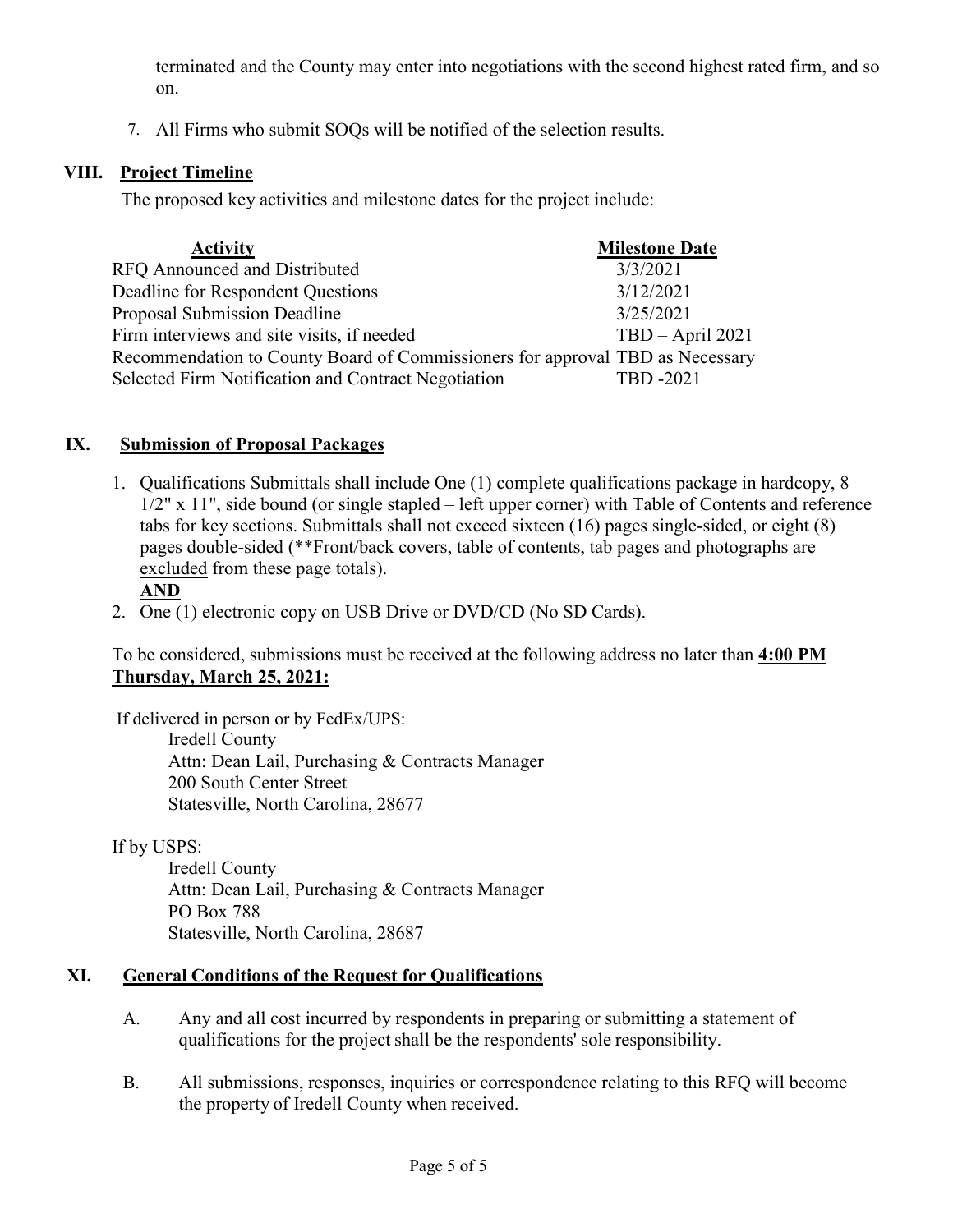terminated and the County may enter into negotiations with the second highest rated firm, and so on.

7. All Firms who submit SOQs will be notified of the selection results.

#### **VIII. Project Timeline**

The proposed key activities and milestone dates for the project include:

| <b>Activity</b>                                                               | <b>Milestone Date</b> |
|-------------------------------------------------------------------------------|-----------------------|
| <b>RFO</b> Announced and Distributed                                          | 3/3/2021              |
| Deadline for Respondent Questions                                             | 3/12/2021             |
| Proposal Submission Deadline                                                  | 3/25/2021             |
| Firm interviews and site visits, if needed                                    | $TBD - April 2021$    |
| Recommendation to County Board of Commissioners for approval TBD as Necessary |                       |
| Selected Firm Notification and Contract Negotiation                           | <b>TBD</b> -2021      |

#### **IX. Submission of Proposal Packages**

1. Qualifications Submittals shall include One (1) complete qualifications package in hardcopy, 8 1/2" x 11", side bound (or single stapled – left upper corner) with Table of Contents and reference tabs for key sections. Submittals shall not exceed sixteen (16) pages single-sided, or eight (8) pages double-sided (\*\*Front/back covers, table of contents, tab pages and photographs are excluded from these page totals).

#### **AND**

2. One (1) electronic copy on USB Drive or DVD/CD (No SD Cards).

To be considered, submissions must be received at the following address no later than **4:00 PM Thursday, March 25, 2021:**

 If delivered in person or by FedEx/UPS: Iredell County Attn: Dean Lail, Purchasing & Contracts Manager 200 South Center Street Statesville, North Carolina, 28677

If by USPS:

Iredell County Attn: Dean Lail, Purchasing & Contracts Manager PO Box 788 Statesville, North Carolina, 28687

#### **XI. General Conditions of the Request for Qualifications**

- A. Any and all cost incurred by respondents in preparing or submitting a statement of qualifications for the project shall be the respondents' sole responsibility.
- B. All submissions, responses, inquiries or correspondence relating to this RFQ will become the property of Iredell County when received.